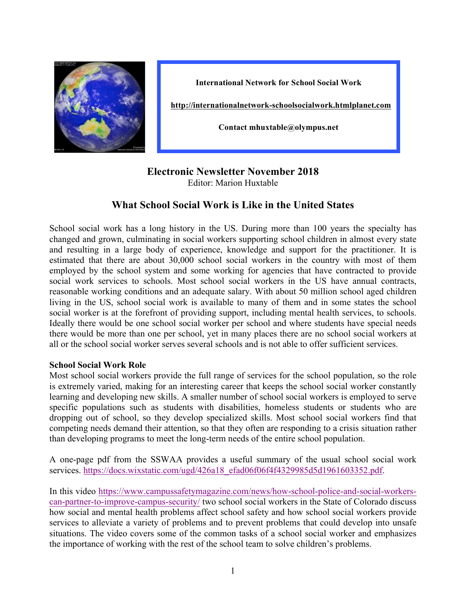

**International Network for School Social Work**

**http://internationalnetwork-schoolsocialwork.htmlplanet.com**

**Contact mhuxtable@olympus.net**

## **Electronic Newsletter November 2018** Editor: Marion Huxtable

# **What School Social Work is Like in the United States**

School social work has a long history in the US. During more than 100 years the specialty has changed and grown, culminating in social workers supporting school children in almost every state and resulting in a large body of experience, knowledge and support for the practitioner. It is estimated that there are about 30,000 school social workers in the country with most of them employed by the school system and some working for agencies that have contracted to provide social work services to schools. Most school social workers in the US have annual contracts, reasonable working conditions and an adequate salary. With about 50 million school aged children living in the US, school social work is available to many of them and in some states the school social worker is at the forefront of providing support, including mental health services, to schools. Ideally there would be one school social worker per school and where students have special needs there would be more than one per school, yet in many places there are no school social workers at all or the school social worker serves several schools and is not able to offer sufficient services.

#### **School Social Work Role**

Most school social workers provide the full range of services for the school population, so the role is extremely varied, making for an interesting career that keeps the school social worker constantly learning and developing new skills. A smaller number of school social workers is employed to serve specific populations such as students with disabilities, homeless students or students who are dropping out of school, so they develop specialized skills. Most school social workers find that competing needs demand their attention, so that they often are responding to a crisis situation rather than developing programs to meet the long-term needs of the entire school population.

A one-page pdf from the SSWAA provides a useful summary of the usual school social work services. https://docs.wixstatic.com/ugd/426a18\_efad06f06f4f4329985d5d1961603352.pdf.

In this video https://www.campussafetymagazine.com/news/how-school-police-and-social-workerscan-partner-to-improve-campus-security/ two school social workers in the State of Colorado discuss how social and mental health problems affect school safety and how school social workers provide services to alleviate a variety of problems and to prevent problems that could develop into unsafe situations. The video covers some of the common tasks of a school social worker and emphasizes the importance of working with the rest of the school team to solve children's problems.